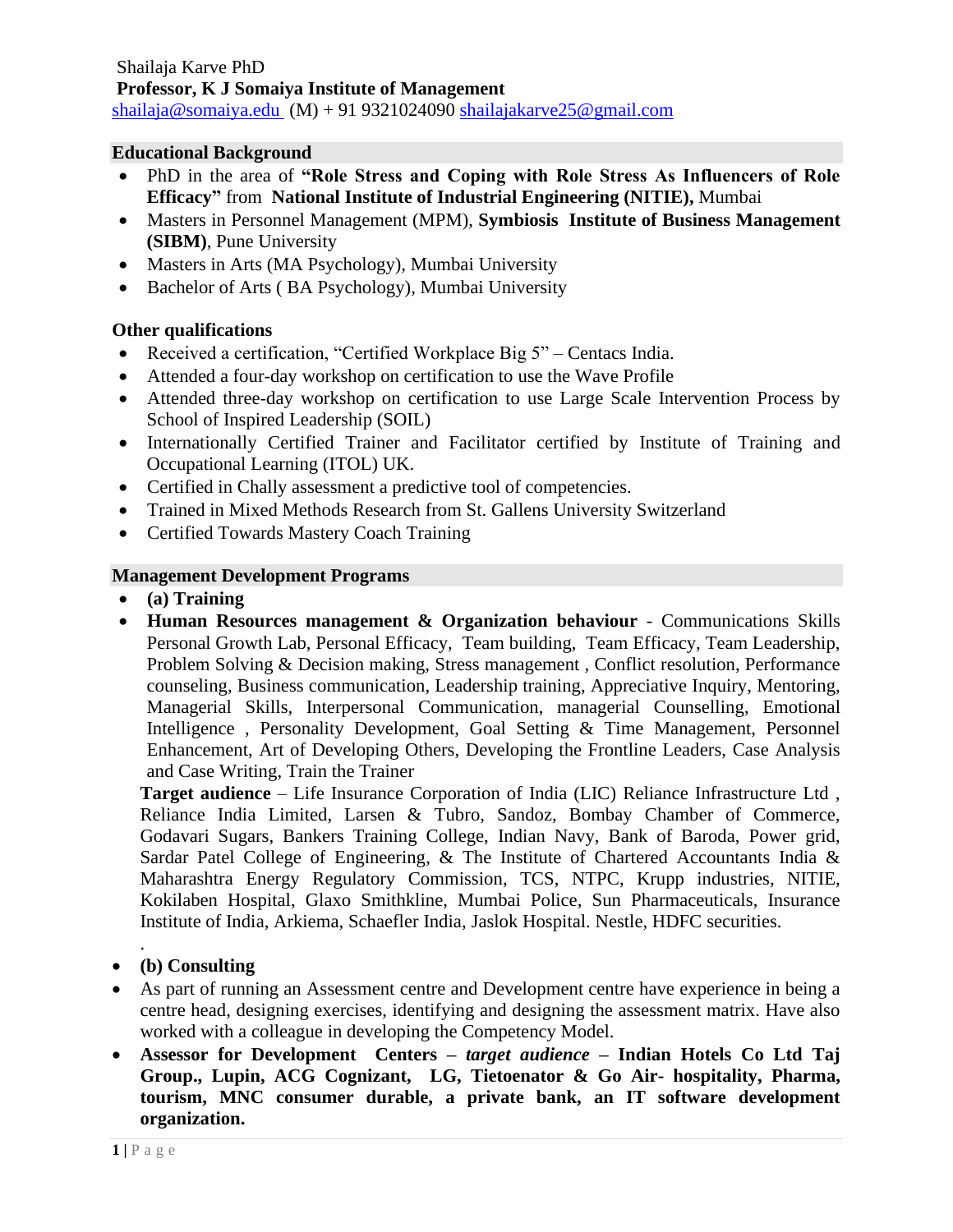### **Educational Background**

- PhD in the area of **"Role Stress and Coping with Role Stress As Influencers of Role Efficacy"** from **National Institute of Industrial Engineering (NITIE),** Mumbai
- Masters in Personnel Management (MPM), **Symbiosis Institute of Business Management (SIBM)**, Pune University
- Masters in Arts (MA Psychology), Mumbai University
- Bachelor of Arts ( BA Psychology), Mumbai University

### **Other qualifications**

- Received a certification, "Certified Workplace Big 5" Centacs India.
- Attended a four-day workshop on certification to use the Wave Profile
- Attended three-day workshop on certification to use Large Scale Intervention Process by School of Inspired Leadership (SOIL)
- Internationally Certified Trainer and Facilitator certified by Institute of Training and Occupational Learning (ITOL) UK.
- Certified in Chally assessment a predictive tool of competencies.
- Trained in Mixed Methods Research from St. Gallens University Switzerland
- Certified Towards Mastery Coach Training

### **Management Development Programs**

- **(a) Training**
- **Human Resources management & Organization behaviour** Communications Skills Personal Growth Lab, Personal Efficacy, Team building, Team Efficacy, Team Leadership, Problem Solving & Decision making, Stress management , Conflict resolution, Performance counseling, Business communication, Leadership training, Appreciative Inquiry, Mentoring, Managerial Skills, Interpersonal Communication, managerial Counselling, Emotional Intelligence , Personality Development, Goal Setting & Time Management, Personnel Enhancement, Art of Developing Others, Developing the Frontline Leaders, Case Analysis and Case Writing, Train the Trainer

**Target audience** – Life Insurance Corporation of India (LIC) Reliance Infrastructure Ltd , Reliance India Limited, Larsen & Tubro, Sandoz, Bombay Chamber of Commerce, Godavari Sugars, Bankers Training College, Indian Navy, Bank of Baroda, Power grid, Sardar Patel College of Engineering, & The Institute of Chartered Accountants India & Maharashtra Energy Regulatory Commission, TCS, NTPC, Krupp industries, NITIE, Kokilaben Hospital, Glaxo Smithkline, Mumbai Police, Sun Pharmaceuticals, Insurance Institute of India, Arkiema, Schaefler India, Jaslok Hospital. Nestle, HDFC securities.

- **(b) Consulting**
- As part of running an Assessment centre and Development centre have experience in being a centre head, designing exercises, identifying and designing the assessment matrix. Have also worked with a colleague in developing the Competency Model.
- **Assessor for Development Centers –** *target audience* **– Indian Hotels Co Ltd Taj Group., Lupin, ACG Cognizant, LG, Tietoenator & Go Air- hospitality, Pharma, tourism, MNC consumer durable, a private bank, an IT software development organization.**

.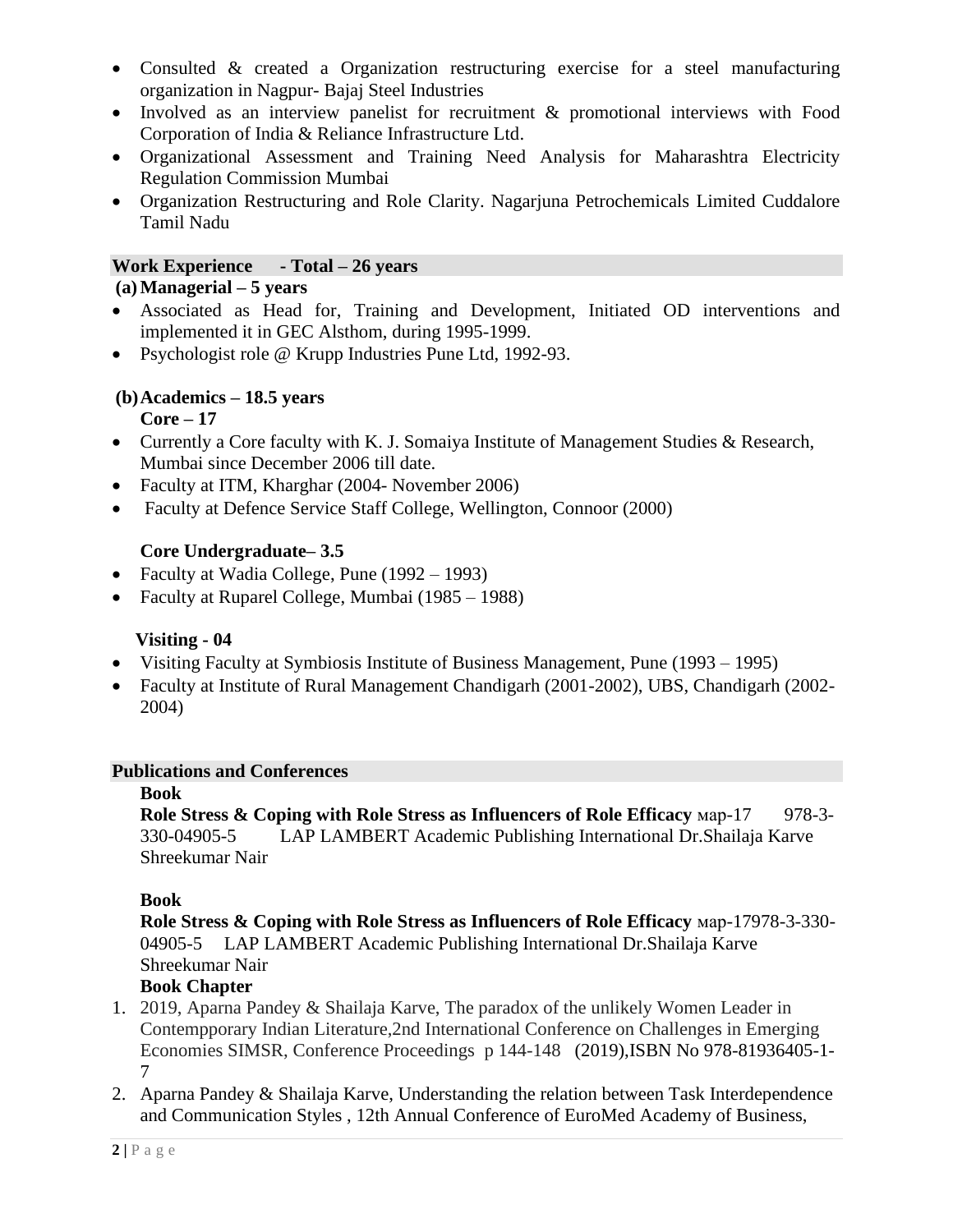- Consulted & created a Organization restructuring exercise for a steel manufacturing organization in Nagpur- Bajaj Steel Industries
- Involved as an interview panelist for recruitment & promotional interviews with Food Corporation of India & Reliance Infrastructure Ltd.
- Organizational Assessment and Training Need Analysis for Maharashtra Electricity Regulation Commission Mumbai
- Organization Restructuring and Role Clarity. Nagarjuna Petrochemicals Limited Cuddalore Tamil Nadu

### **Work Experience - Total – 26 years**

### **(a)Managerial – 5 years**

- Associated as Head for, Training and Development, Initiated OD interventions and implemented it in GEC Alsthom, during 1995-1999.
- Psychologist role @ Krupp Industries Pune Ltd, 1992-93.

# **(b)Academics – 18.5 years**

### **Core – 17**

- Currently a Core faculty with K. J. Somaiya Institute of Management Studies & Research, Mumbai since December 2006 till date.
- Faculty at ITM, Kharghar (2004- November 2006)
- Faculty at Defence Service Staff College, Wellington, Connoor (2000)

### **Core Undergraduate– 3.5**

- Faculty at Wadia College, Pune (1992 1993)
- Faculty at Ruparel College, Mumbai (1985 1988)

### **Visiting - 04**

- Visiting Faculty at Symbiosis Institute of Business Management, Pune (1993 1995)
- Faculty at Institute of Rural Management Chandigarh (2001-2002), UBS, Chandigarh (2002- 2004)

### **Publications and Conferences**

#### **Book**

**Role Stress & Coping with Role Stress as Influencers of Role Efficacy Map-17 978-3-**330-04905-5 LAP LAMBERT Academic Publishing International Dr.Shailaja Karve Shreekumar Nair

### **Book**

**Role Stress & Coping with Role Stress as Influencers of Role Efficacy** мар-17978-3-330- 04905-5 LAP LAMBERT Academic Publishing International Dr.Shailaja Karve Shreekumar Nair

### **Book Chapter**

- 1. 2019, Aparna Pandey & Shailaja Karve, The paradox of the unlikely Women Leader in Contempporary Indian Literature,2nd International Conference on Challenges in Emerging Economies SIMSR, Conference Proceedings p 144-148 (2019),ISBN No 978-81936405-1- 7
- 2. Aparna Pandey & Shailaja Karve, Understanding the relation between Task Interdependence and Communication Styles , 12th Annual Conference of EuroMed Academy of Business,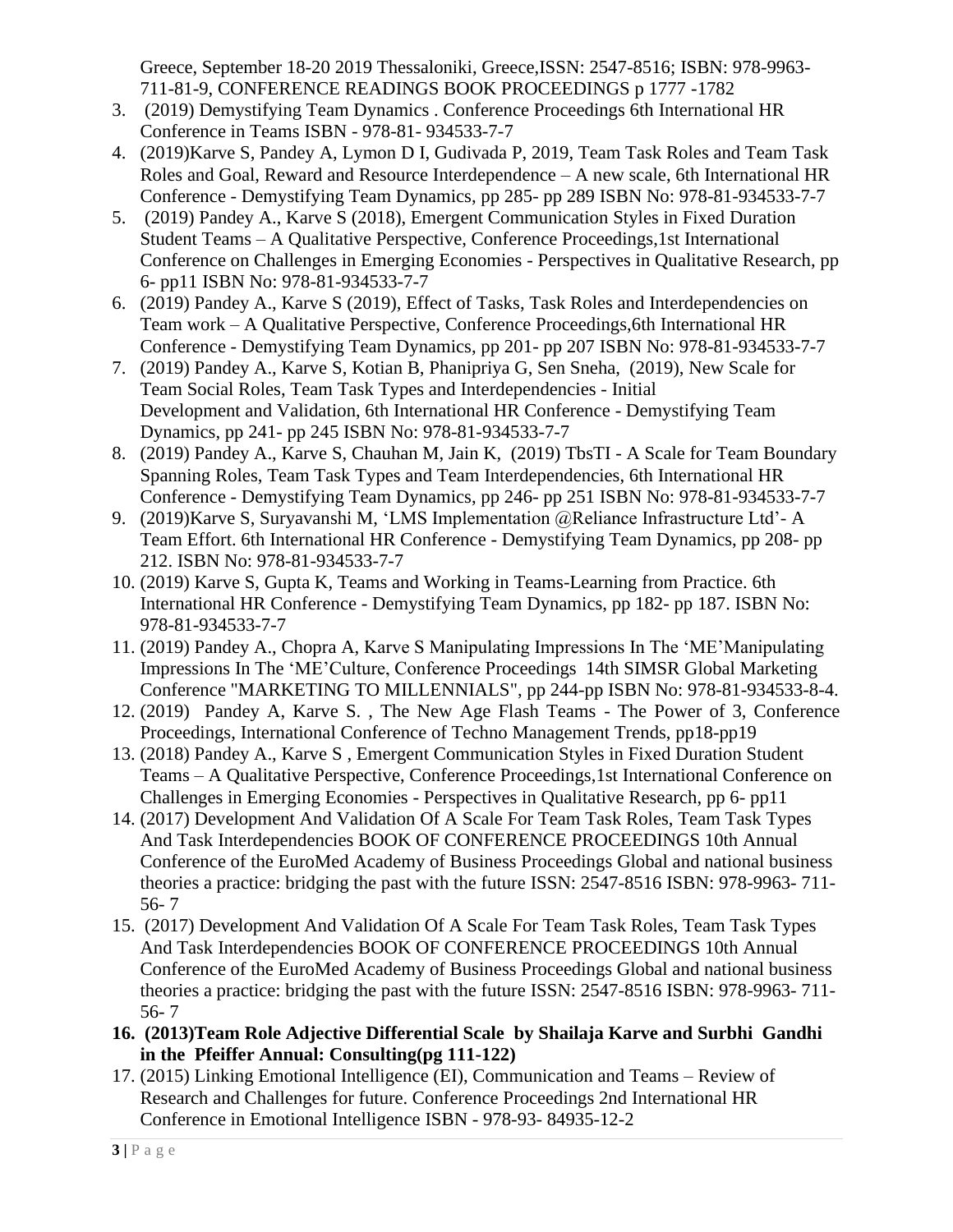Greece, September 18-20 2019 Thessaloniki, Greece,ISSN: 2547-8516; ISBN: 978-9963- 711-81-9, CONFERENCE READINGS BOOK PROCEEDINGS p 1777 -1782

- 3. (2019) Demystifying Team Dynamics . Conference Proceedings 6th International HR Conference in Teams ISBN - 978-81- 934533-7-7
- 4. (2019)Karve S, Pandey A, Lymon D I, Gudivada P, 2019, Team Task Roles and Team Task Roles and Goal, Reward and Resource Interdependence – A new scale, 6th International HR Conference - Demystifying Team Dynamics, pp 285- pp 289 ISBN No: 978-81-934533-7-7
- 5. (2019) Pandey A., Karve S (2018), Emergent Communication Styles in Fixed Duration Student Teams – A Qualitative Perspective, Conference Proceedings,1st International Conference on Challenges in Emerging Economies - Perspectives in Qualitative Research, pp 6- pp11 ISBN No: 978-81-934533-7-7
- 6. (2019) Pandey A., Karve S (2019), Effect of Tasks, Task Roles and Interdependencies on Team work – A Qualitative Perspective, Conference Proceedings,6th International HR Conference - Demystifying Team Dynamics, pp 201- pp 207 ISBN No: 978-81-934533-7-7
- 7. (2019) Pandey A., Karve S, Kotian B, Phanipriya G, Sen Sneha, (2019), New Scale for Team Social Roles, Team Task Types and Interdependencies - Initial Development and Validation, 6th International HR Conference - Demystifying Team Dynamics, pp 241- pp 245 ISBN No: 978-81-934533-7-7
- 8. (2019) Pandey A., Karve S, Chauhan M, Jain K, (2019) TbsTI A Scale for Team Boundary Spanning Roles, Team Task Types and Team Interdependencies, 6th International HR Conference - Demystifying Team Dynamics, pp 246- pp 251 ISBN No: 978-81-934533-7-7
- 9. (2019)Karve S, Suryavanshi M, 'LMS Implementation @Reliance Infrastructure Ltd'- A Team Effort. 6th International HR Conference - Demystifying Team Dynamics, pp 208- pp 212. ISBN No: 978-81-934533-7-7
- 10. (2019) Karve S, Gupta K, Teams and Working in Teams-Learning from Practice. 6th International HR Conference - Demystifying Team Dynamics, pp 182- pp 187. ISBN No: 978-81-934533-7-7
- 11. (2019) Pandey A., Chopra A, Karve S Manipulating Impressions In The 'ME'Manipulating Impressions In The 'ME'Culture, Conference Proceedings 14th SIMSR Global Marketing Conference "MARKETING TO MILLENNIALS", pp 244-pp ISBN No: 978-81-934533-8-4.
- 12. (2019) Pandey A, Karve S. , The New Age Flash Teams The Power of 3, Conference Proceedings, International Conference of Techno Management Trends, pp18-pp19
- 13. (2018) Pandey A., Karve S , Emergent Communication Styles in Fixed Duration Student Teams – A Qualitative Perspective, Conference Proceedings,1st International Conference on Challenges in Emerging Economies - Perspectives in Qualitative Research, pp 6- pp11
- 14. (2017) Development And Validation Of A Scale For Team Task Roles, Team Task Types And Task Interdependencies BOOK OF CONFERENCE PROCEEDINGS 10th Annual Conference of the EuroMed Academy of Business Proceedings Global and national business theories a practice: bridging the past with the future ISSN: 2547-8516 ISBN: 978-9963- 711- 56- 7
- 15. (2017) Development And Validation Of A Scale For Team Task Roles, Team Task Types And Task Interdependencies BOOK OF CONFERENCE PROCEEDINGS 10th Annual Conference of the EuroMed Academy of Business Proceedings Global and national business theories a practice: bridging the past with the future ISSN: 2547-8516 ISBN: 978-9963- 711- 56- 7
- **16. (2013)Team Role Adjective Differential Scale by Shailaja Karve and Surbhi Gandhi in the Pfeiffer Annual: Consulting(pg 111-122)**
- 17. (2015) Linking Emotional Intelligence (EI), Communication and Teams Review of Research and Challenges for future. Conference Proceedings 2nd International HR Conference in Emotional Intelligence ISBN - 978-93- 84935-12-2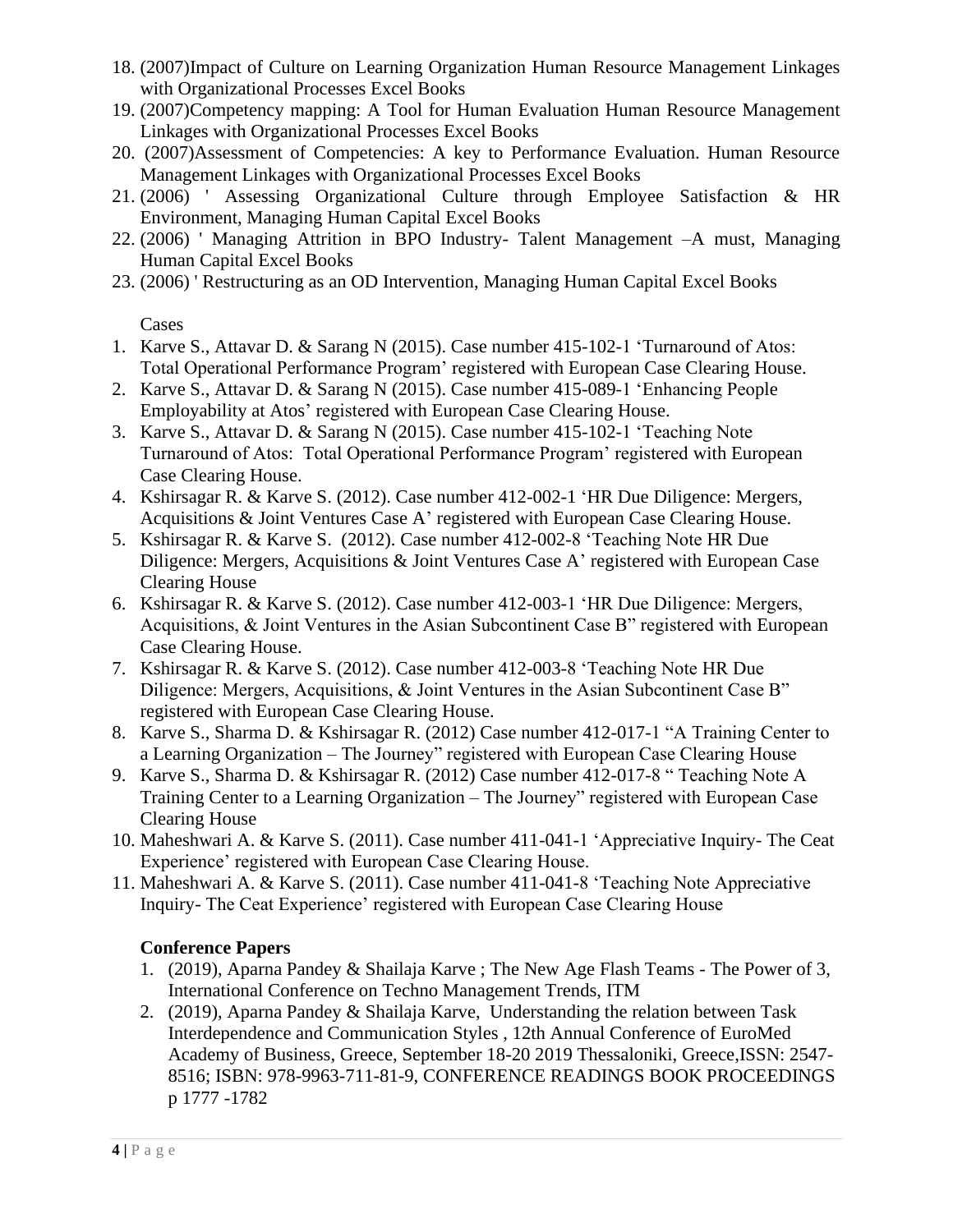- 18. (2007)Impact of Culture on Learning Organization Human Resource Management Linkages with Organizational Processes Excel Books
- 19. (2007)Competency mapping: A Tool for Human Evaluation Human Resource Management Linkages with Organizational Processes Excel Books
- 20. (2007)Assessment of Competencies: A key to Performance Evaluation. Human Resource Management Linkages with Organizational Processes Excel Books
- 21. (2006) ' Assessing Organizational Culture through Employee Satisfaction & HR Environment, Managing Human Capital Excel Books
- 22. (2006) ' Managing Attrition in BPO Industry- Talent Management –A must, Managing Human Capital Excel Books
- 23. (2006) ' Restructuring as an OD Intervention, Managing Human Capital Excel Books

Cases

- 1. Karve S., Attavar D. & Sarang N (2015). Case number 415-102-1 'Turnaround of Atos: Total Operational Performance Program' registered with European Case Clearing House.
- 2. Karve S., Attavar D. & Sarang N (2015). Case number 415-089-1 'Enhancing People Employability at Atos' registered with European Case Clearing House.
- 3. Karve S., Attavar D. & Sarang N (2015). Case number 415-102-1 'Teaching Note Turnaround of Atos: Total Operational Performance Program' registered with European Case Clearing House.
- 4. Kshirsagar R. & Karve S. (2012). Case number 412-002-1 'HR Due Diligence: Mergers, Acquisitions & Joint Ventures Case A' registered with European Case Clearing House.
- 5. Kshirsagar R. & Karve S. (2012). Case number 412-002-8 'Teaching Note HR Due Diligence: Mergers, Acquisitions & Joint Ventures Case A' registered with European Case Clearing House
- 6. Kshirsagar R. & Karve S. (2012). Case number 412-003-1 'HR Due Diligence: Mergers, Acquisitions, & Joint Ventures in the Asian Subcontinent Case B" registered with European Case Clearing House.
- 7. Kshirsagar R. & Karve S. (2012). Case number 412-003-8 'Teaching Note HR Due Diligence: Mergers, Acquisitions, & Joint Ventures in the Asian Subcontinent Case B" registered with European Case Clearing House.
- 8. Karve S., Sharma D. & Kshirsagar R. (2012) Case number 412-017-1 "A Training Center to a Learning Organization – The Journey" registered with European Case Clearing House
- 9. Karve S., Sharma D. & Kshirsagar R. (2012) Case number 412-017-8 " Teaching Note A Training Center to a Learning Organization – The Journey" registered with European Case Clearing House
- 10. Maheshwari A. & Karve S. (2011). Case number 411-041-1 'Appreciative Inquiry- The Ceat Experience' registered with European Case Clearing House.
- 11. Maheshwari A. & Karve S. (2011). Case number 411-041-8 'Teaching Note Appreciative Inquiry- The Ceat Experience' registered with European Case Clearing House

# **Conference Papers**

- 1. (2019), Aparna Pandey & Shailaja Karve ; The New Age Flash Teams The Power of 3, International Conference on Techno Management Trends, ITM
- 2. (2019), Aparna Pandey & Shailaja Karve, Understanding the relation between Task Interdependence and Communication Styles , 12th Annual Conference of EuroMed Academy of Business, Greece, September 18-20 2019 Thessaloniki, Greece,ISSN: 2547- 8516; ISBN: 978-9963-711-81-9, CONFERENCE READINGS BOOK PROCEEDINGS p 1777 -1782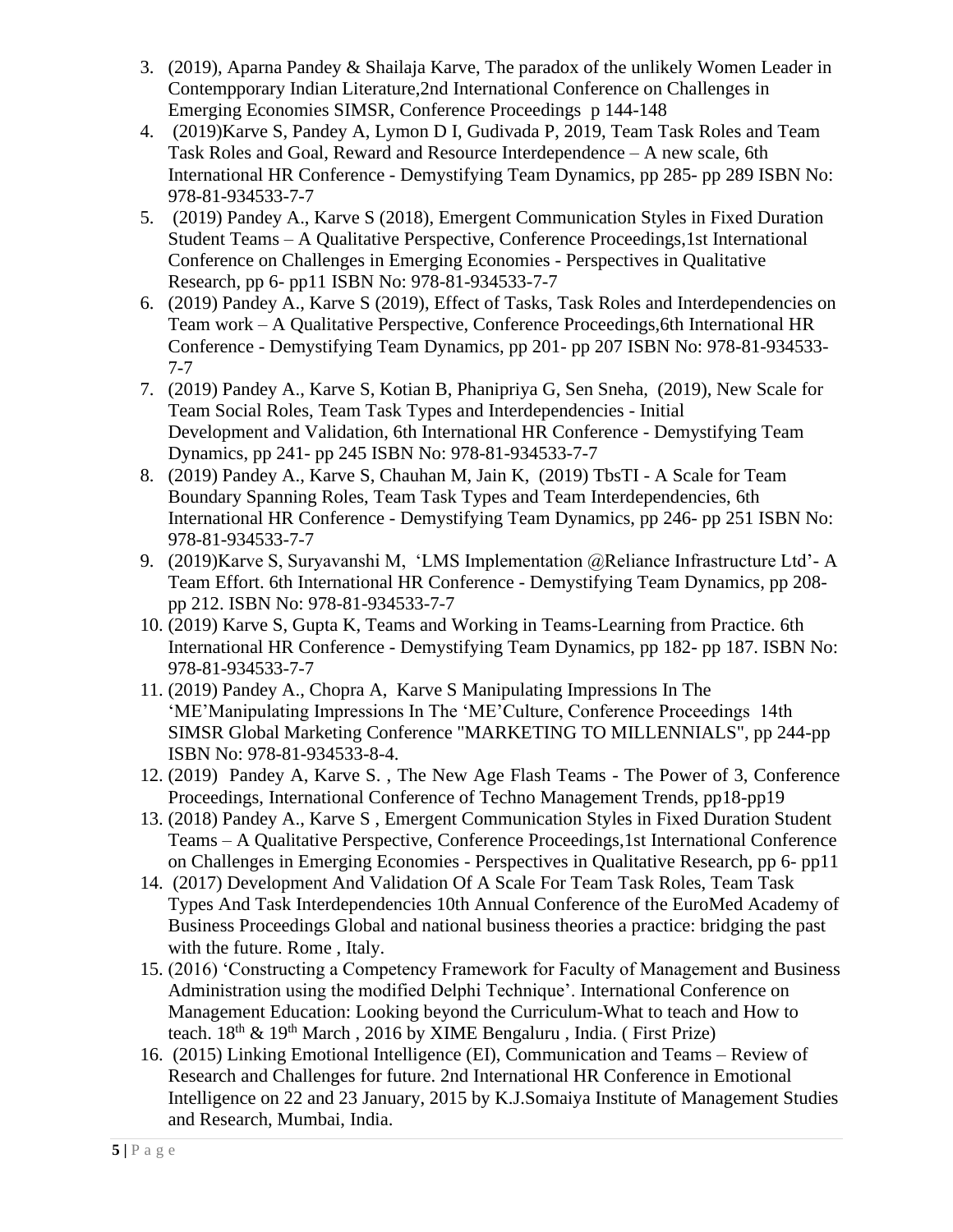- 3. (2019), Aparna Pandey & Shailaja Karve, The paradox of the unlikely Women Leader in Contempporary Indian Literature,2nd International Conference on Challenges in Emerging Economies SIMSR, Conference Proceedings p 144-148
- 4. (2019)Karve S, Pandey A, Lymon D I, Gudivada P, 2019, Team Task Roles and Team Task Roles and Goal, Reward and Resource Interdependence – A new scale, 6th International HR Conference - Demystifying Team Dynamics, pp 285- pp 289 ISBN No: 978-81-934533-7-7
- 5. (2019) Pandey A., Karve S (2018), Emergent Communication Styles in Fixed Duration Student Teams – A Qualitative Perspective, Conference Proceedings,1st International Conference on Challenges in Emerging Economies - Perspectives in Qualitative Research, pp 6- pp11 ISBN No: 978-81-934533-7-7
- 6. (2019) Pandey A., Karve S (2019), Effect of Tasks, Task Roles and Interdependencies on Team work – A Qualitative Perspective, Conference Proceedings,6th International HR Conference - Demystifying Team Dynamics, pp 201- pp 207 ISBN No: 978-81-934533- 7-7
- 7. (2019) Pandey A., Karve S, Kotian B, Phanipriya G, Sen Sneha, (2019), New Scale for Team Social Roles, Team Task Types and Interdependencies - Initial Development and Validation, 6th International HR Conference - Demystifying Team Dynamics, pp 241- pp 245 ISBN No: 978-81-934533-7-7
- 8. (2019) Pandey A., Karve S, Chauhan M, Jain K, (2019) TbsTI A Scale for Team Boundary Spanning Roles, Team Task Types and Team Interdependencies, 6th International HR Conference - Demystifying Team Dynamics, pp 246- pp 251 ISBN No: 978-81-934533-7-7
- 9. (2019)Karve S, Suryavanshi M, 'LMS Implementation @Reliance Infrastructure Ltd'- A Team Effort. 6th International HR Conference - Demystifying Team Dynamics, pp 208 pp 212. ISBN No: 978-81-934533-7-7
- 10. (2019) Karve S, Gupta K, Teams and Working in Teams-Learning from Practice. 6th International HR Conference - Demystifying Team Dynamics, pp 182- pp 187. ISBN No: 978-81-934533-7-7
- 11. (2019) Pandey A., Chopra A, Karve S Manipulating Impressions In The 'ME'Manipulating Impressions In The 'ME'Culture, Conference Proceedings 14th SIMSR Global Marketing Conference "MARKETING TO MILLENNIALS", pp 244-pp ISBN No: 978-81-934533-8-4.
- 12. (2019) Pandey A, Karve S. , The New Age Flash Teams The Power of 3, Conference Proceedings, International Conference of Techno Management Trends, pp18-pp19
- 13. (2018) Pandey A., Karve S , Emergent Communication Styles in Fixed Duration Student Teams – A Qualitative Perspective, Conference Proceedings,1st International Conference on Challenges in Emerging Economies - Perspectives in Qualitative Research, pp 6- pp11
- 14. (2017) Development And Validation Of A Scale For Team Task Roles, Team Task Types And Task Interdependencies 10th Annual Conference of the EuroMed Academy of Business Proceedings Global and national business theories a practice: bridging the past with the future. Rome , Italy.
- 15. (2016) 'Constructing a Competency Framework for Faculty of Management and Business Administration using the modified Delphi Technique'. International Conference on Management Education: Looking beyond the Curriculum-What to teach and How to teach.  $18^{th}$  &  $19^{th}$  March, 2016 by XIME Bengaluru, India. (First Prize)
- 16. (2015) Linking Emotional Intelligence (EI), Communication and Teams Review of Research and Challenges for future. 2nd International HR Conference in Emotional Intelligence on 22 and 23 January, 2015 by K.J.Somaiya Institute of Management Studies and Research, Mumbai, India.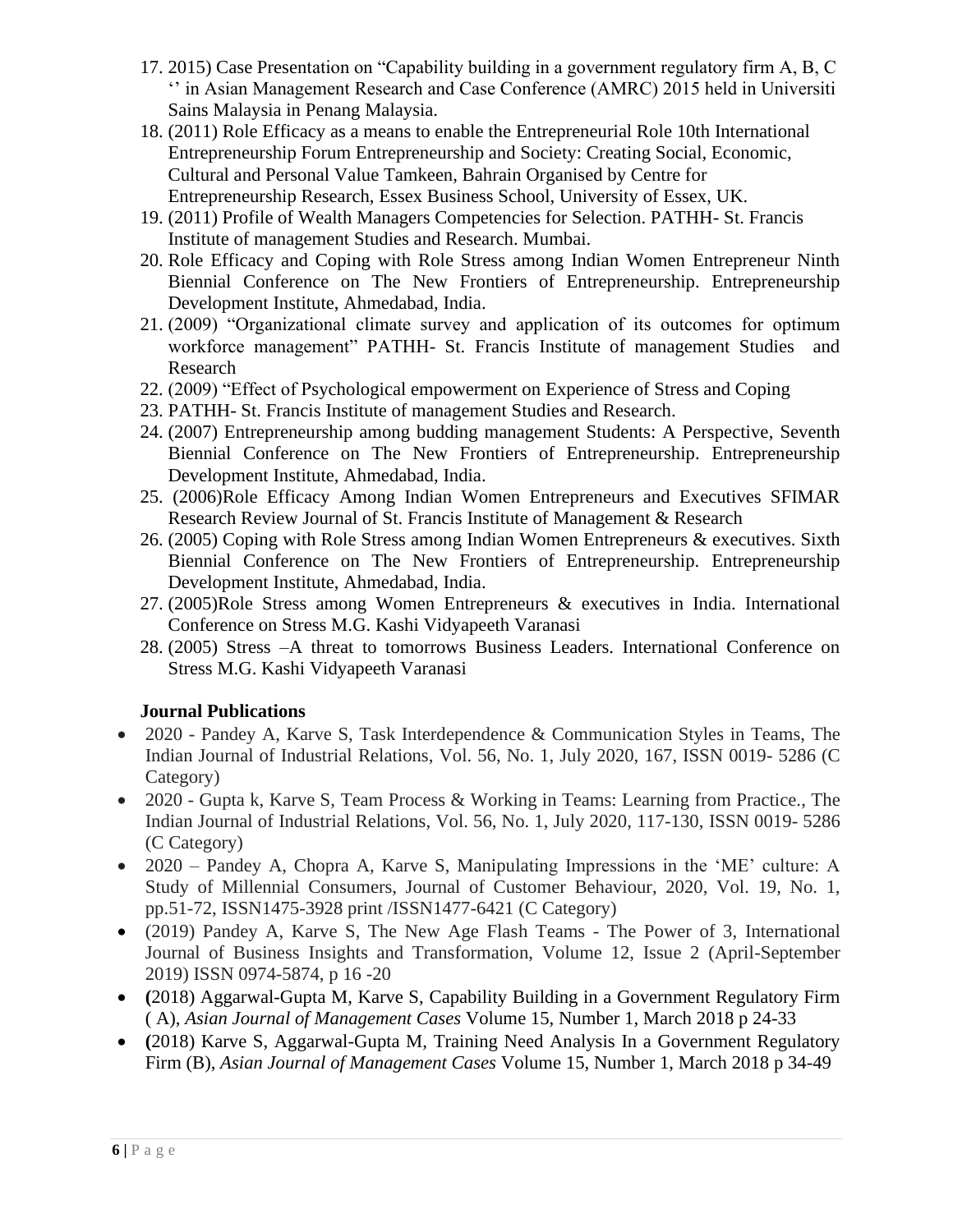- 17. 2015) Case Presentation on "Capability building in a government regulatory firm A, B, C '' in Asian Management Research and Case Conference (AMRC) 2015 held in Universiti Sains Malaysia in Penang Malaysia.
- 18. (2011) Role Efficacy as a means to enable the Entrepreneurial Role 10th International Entrepreneurship Forum Entrepreneurship and Society: Creating Social, Economic, Cultural and Personal Value Tamkeen, Bahrain Organised by Centre for Entrepreneurship Research, Essex Business School, University of Essex, UK.
- 19. (2011) Profile of Wealth Managers Competencies for Selection. PATHH- St. Francis Institute of management Studies and Research. Mumbai.
- 20. Role Efficacy and Coping with Role Stress among Indian Women Entrepreneur Ninth Biennial Conference on The New Frontiers of Entrepreneurship. Entrepreneurship Development Institute, Ahmedabad, India.
- 21. (2009) "Organizational climate survey and application of its outcomes for optimum workforce management" PATHH- St. Francis Institute of management Studies and Research
- 22. (2009) "Effect of Psychological empowerment on Experience of Stress and Coping
- 23. PATHH- St. Francis Institute of management Studies and Research.
- 24. (2007) Entrepreneurship among budding management Students: A Perspective, Seventh Biennial Conference on The New Frontiers of Entrepreneurship. Entrepreneurship Development Institute, Ahmedabad, India.
- 25. (2006)Role Efficacy Among Indian Women Entrepreneurs and Executives SFIMAR Research Review Journal of St. Francis Institute of Management & Research
- 26. (2005) Coping with Role Stress among Indian Women Entrepreneurs & executives. Sixth Biennial Conference on The New Frontiers of Entrepreneurship. Entrepreneurship Development Institute, Ahmedabad, India.
- 27. (2005)Role Stress among Women Entrepreneurs & executives in India. International Conference on Stress M.G. Kashi Vidyapeeth Varanasi
- 28. (2005) Stress –A threat to tomorrows Business Leaders. International Conference on Stress M.G. Kashi Vidyapeeth Varanasi

# **Journal Publications**

- 2020 Pandey A, Karve S, Task Interdependence & Communication Styles in Teams, The Indian Journal of Industrial Relations, Vol. 56, No. 1, July 2020, 167, ISSN 0019- 5286 (C Category)
- 2020 Gupta k, Karve S, [Team Process & Working in Teams: Learning from Practice.,](http://search.ebscohost.com/login.aspx?direct=true&profile=ehost&scope=site&authtype=crawler&jrnl=00195286&AN=146780266&h=LhNYM5%2BBq0%2FJDTTblCRyl78CWVAY%2FQZ0tpXY5ubhXNc2IKKxoGLAQbxbQhgHap2DPIz8%2F2E1Fhy0Wb2QUjJ9bg%3D%3D&crl=c) The Indian Journal of Industrial Relations, Vol. 56, No. 1, July 2020, 117-130, ISSN 0019- 5286 (C Category)
- 2020 Pandey A, Chopra A, Karve S, Manipulating Impressions in the 'ME' culture: A Study of Millennial Consumers, Journal of Customer Behaviour, 2020, Vol. 19, No. 1, pp.51-72, ISSN1475-3928 print /ISSN1477-6421 (C Category)
- (2019) Pandey A, Karve S, The New Age Flash Teams The Power of 3, International Journal of Business Insights and Transformation, Volume 12, Issue 2 (April-September 2019) ISSN 0974-5874, p 16 -20
- **(**2018) Aggarwal-Gupta M, Karve S, Capability Building in a Government Regulatory Firm ( A), *Asian Journal of Management Cases* Volume 15, Number 1, March 2018 p 24-33
- **(**2018) Karve S, Aggarwal-Gupta M, Training Need Analysis In a Government Regulatory Firm (B), *Asian Journal of Management Cases* Volume 15, Number 1, March 2018 p 34-49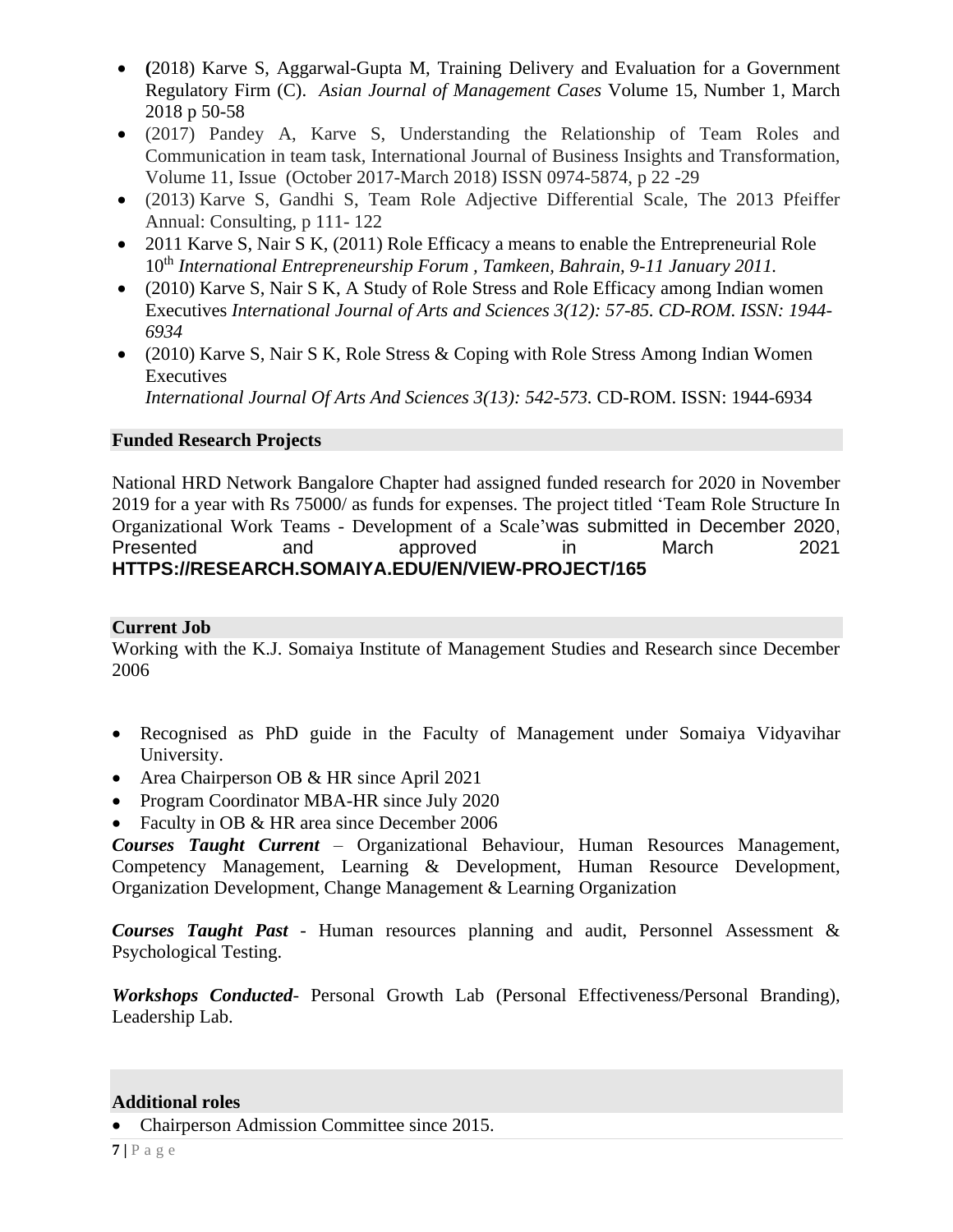- **(**2018) Karve S, Aggarwal-Gupta M, Training Delivery and Evaluation for a Government Regulatory Firm (C). *Asian Journal of Management Cases* Volume 15, Number 1, March 2018 p 50-58
- (2017) Pandey A, Karve S, Understanding the Relationship of Team Roles and Communication in team task, International Journal of Business Insights and Transformation, Volume 11, Issue (October 2017-March 2018) ISSN 0974-5874, p 22 -29
- (2013) Karve S, Gandhi S, Team Role Adjective Differential Scale, The 2013 Pfeiffer Annual: Consulting, p 111- 122
- 2011 Karve S, Nair S K, (2011) Role Efficacy a means to enable the Entrepreneurial Role 10th *International Entrepreneurship Forum , Tamkeen, Bahrain, 9-11 January 2011.*
- (2010) Karve S, Nair S K, A Study of Role Stress and Role Efficacy among Indian women Executives *International Journal of Arts and Sciences 3(12): 57-85. CD-ROM. ISSN: 1944- 6934*
- (2010) Karve S, Nair S K, Role Stress & Coping with Role Stress Among Indian Women Executives *International Journal Of Arts And Sciences 3(13): 542-573.* CD-ROM. ISSN: 1944-6934

### **Funded Research Projects**

National HRD Network Bangalore Chapter had assigned funded research for 2020 in November 2019 for a year with Rs 75000/ as funds for expenses. The project titled 'Team Role Structure In Organizational Work Teams - Development of a Scale'was submitted in December 2020, Presented and approved in March 2021 **HTTPS://RESEARCH.SOMAIYA.EDU/EN/VIEW-PROJECT/165**

### **Current Job**

Working with the K.J. Somaiya Institute of Management Studies and Research since December 2006

- Recognised as PhD guide in the Faculty of Management under Somaiya Vidyavihar University.
- Area Chairperson OB & HR since April 2021
- Program Coordinator MBA-HR since July 2020
- Faculty in OB & HR area since December 2006

*Courses Taught Current* – Organizational Behaviour, Human Resources Management, Competency Management, Learning & Development, Human Resource Development, Organization Development, Change Management & Learning Organization

*Courses Taught Past* - Human resources planning and audit, Personnel Assessment & Psychological Testing.

*Workshops Conducted*- Personal Growth Lab (Personal Effectiveness/Personal Branding), Leadership Lab.

#### **Additional roles**

• Chairperson Admission Committee since 2015.